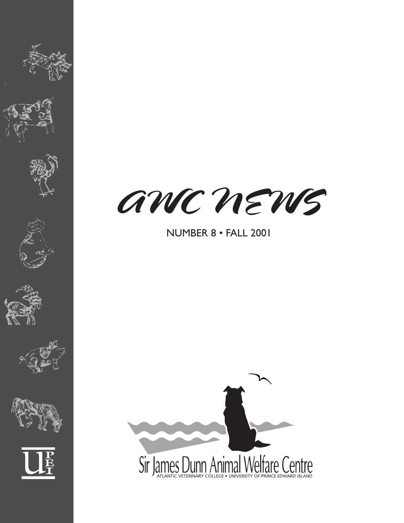











# NUMBER 8 • FALL 2001

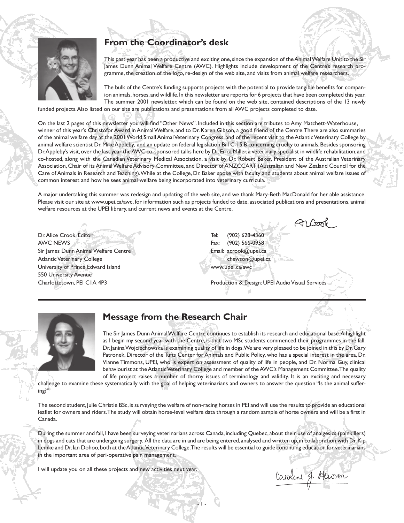

## **From the Coordinator's desk**

This past year has been a productive and exciting one, since the expansion of the Animal Welfare Unit to the Sir James Dunn Animal Welfare Centre (AWC). Highlights include development of the Centre's research programme, the creation of the logo, re-design of the web site, and visits from animal welfare researchers.

The bulk of the Centre's funding supports projects with the potential to provide tangible benefits for companion animals, horses, and wildlife. In this newsletter are reports for 6 projects that have been completed this year. The summer 2001 newsletter, which can be found on the web site, contained descriptions of the 13 newly

funded projects. Also listed on our site are publications and presentations from all AWC projects completed to date.

On the last 2 pages of this newsletter you will find "Other News". Included in this section are tributes to Amy Matchett-Waterhouse, winner of this year's Christofor Award in Animal Welfare, and to Dr. Karen Gibson, a good friend of the Centre. There are also summaries of the animal welfare day at the 2001 World Small Animal Veterinary Congress, and of the recent visit to the Atlantic Veterinary College by animal welfare scientist Dr. Mike Appleby, and an update on federal legislation Bill C-15 B concerning cruelty to animals. Besides sponsoring Dr. Appleby's visit, over the last year the AWC co-sponsored talks here by Dr. Erica Miller, a veterinary specialist in wildlife rehabilitation, and co-hosted, along with the Canadian Veterinary Medical Association, a visit by Dr. Robert Baker, President of the Australian Veterinary Association, Chair of its Animal Welfare Advisory Committee, and Director of ANZCCART (Australian and New Zealand Council for the Care of Animals in Research and Teaching). While at the College, Dr. Baker spoke with faculty and students about animal welfare issues of common interest and how he sees animal welfare being incorporated into veterinary curricula.

A major undertaking this summer was redesign and updating of the web site, and we thank Mary-Beth MacDonald for her able assistance. Please visit our site at www.upei.ca/awc, for information such as projects funded to date, associated publications and presentations, animal welfare resources at the UPEI library, and current news and events at the Centre.

Dr. Alice Crook, Editor AWC NEWS Sir James Dunn Animal Welfare Centre Atlantic Veterinary College University of Prince Edward Island 550 University Avenue Charlottetown, PEI C1A 4P3

Tel: (902) 628-4360 Fax: (902) 566-0958 Email: acrook@upei.ca chewson@upei.ca www.upei.ca/awc

Production & Design: UPEI Audio Visual Services



## **Message from the Research Chair**

The Sir James Dunn Animal Welfare Centre continues to establish its research and educational base. A highlight as I begin my second year with the Centre, is that two MSc students commenced their programmes in the fall. Dr. Janina Wojciechowska is examining quality of life in dogs. We are very pleased to be joined in this by Dr. Gary Patronek, Director of the Tufts Center for Animals and Public Policy, who has a special interest in the area, Dr. Vianne Timmons, UPEI, who is expert on assessment of quality of life in people, and Dr. Norma Guy, clinical behaviourist at the Atlantic Veterinary College and member of the AWC's Management Committee. The quality of life project raises a number of thorny issues of terminology and validity. It is an exciting and necessary

challenge to examine these systematically with the goal of helping veterinarians and owners to answer the question "Is the animal suffering?"

The second student, Julie Christie BSc, is surveying the welfare of non-racing horses in PEI and will use the results to provide an educational leaflet for owners and riders. The study will obtain horse-level welfare data through a random sample of horse owners and will be a first in Canada.

During the summer and fall, I have been surveying veterinarians across Canada, including Quebec, about their use of analgesics (painkillers) in dogs and cats that are undergoing surgery. All the data are in and are being entered, analysed and written up, in collaboration with Dr. Kip Lemke and Dr. Ian Dohoo, both at the Atlantic Veterinary College. The results will be essential to guide continuing education for veterinarians in the important area of peri-operative pain management.

- 1 -

I will update you on all these projects and new activities next year.

Caroline J. Henson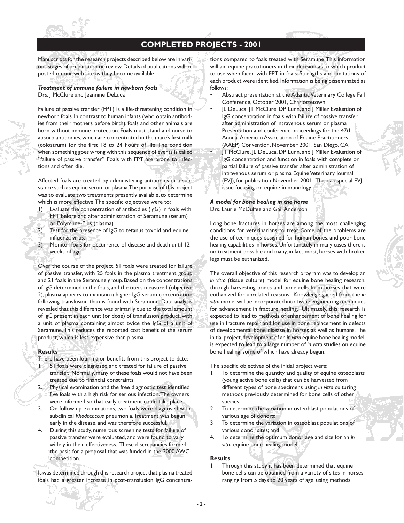

## **COMPLETED PROJECTS - 2001**

Manuscripts for the research projects described below are in various stages of preparation or review. Details of publications will be posted on our web site as they become available.

## *Treatment of immune failure in newborn foals* Drs. J McClure and Jeannine DeLuca

Failure of passive transfer (FPT) is a life-threatening condition in newborn foals. In contrast to human infants (who obtain antibodies from their mothers before birth), foals and other animals are born without immune protection. Foals must stand and nurse to absorb antibodies, which are concentrated in the mare's first milk (colostrum) for the first 18 to 24 hours of life. The condition when something goes wrong with this sequence of events is called "failure of passive transfer." Foals with FPT are prone to infections and often die.

Affected foals are treated by administering antibodies in a substance such as equine serum or plasma. The purpose of this project was to evaluate two treatments presently available, to determine which is more effective. The specific objectives were to:

- 1) Evaluate the concentration of antibodies (IgG) in foals with FPT before and after administration of Seramune (serum) or Polymune-Plus (plasma).
- 2) Test for the presence of IgG to tetanus toxoid and equine influenza virus.
- 3) Monitor foals for occurrence of disease and death until 12 weeks of age.

Over the course of the project, 51 foals were treated for failure of passive transfer, with 25 foals in the plasma treatment group and 21 foals in the Seramune group. Based on the concentrations of IgG determined in the foals, and the titers measured (objective 2), plasma appears to maintain a higher IgG serum concentration following transfusion than is found with Seramune. Data analysis revealed that this difference was primarily due to the total amount of IgG present in each unit (or dose) of transfusion product, with a unit of plasma containing almost twice the IgG of a unit of Seramune. This reduces the reported cost benefit of the serum product, which is less expensive than plasma.

### **Results**

- There have been four major benefits from this project to date: 1. 51 foals were diagnosed and treated for failure of passive transfer. Normally, many of these foals would not have been treated due to financial constraints.
- 2. Physical examination and the free diagnostic test identified five foals with a high risk for serious infection. The owners were informed so that early treatment could take place.
- 3. On follow up examinations, two foals were diagnosed with subclinical *Rhodococcus* pneumonia. Treatment was begun early in the disease, and was therefore successful.
- 4. During this study, numerous screening tests for failure of passive transfer were evaluated, and were found to vary widely in their effectiveness. These discrepancies formed the basis for a proposal that was funded in the 2000 AWC competition.

It was determined through this research project that plasma treated foals had a greater increase in post-transfusion IgG concentrations compared to foals treated with Seramune. This information will aid equine practitioners in their decision as to which product to use when faced with FPT in foals. Strengths and limitations of each product were identified. Information is being disseminated as follows:

- Abstract presentation at the Atlantic Veterinary College Fall Conference, October 2001, Charlottetown
- JL DeLuca, JT McClure, DP Lunn, and J Miller Evaluation of IgG concentration in foals with failure of passive transfer after administration of intravenous serum or plasma Presentation and conference proceedings for the 47th Annual American Association of Equine Practitioners (AAEP) Convention, November 2001, San Diego, CA • JT McClure, JL DeLuca, DP Lunn, and J Miller Evaluation of IgG concentration and function in foals with complete or partial failure of passive transfer after administration of intravenous serum or plasma Equine Veterinary Journal (EVJ), for publication November 2001. This is a special EVJ issue focusing on equine immunology.

#### *A model for bone healing in the horse* Drs. Laurie McDuffee and Gail Anderson

Long bone fractures in horses are among the most challenging conditions for veterinarians to treat. Some of the problems are the use of techniques designed for human bones, and poor bone healing capabilities in horses. Unfortunately in many cases there is no treatment possible and many, in fact most, horses with broken legs must be euthanized.

The overall objective of this research program was to develop an *in vitro* (tissue culture) model for equine bone healing research, through harvesting bones and bone cells from horses that were euthanized for unrelated reasons. Knowledge gained from the *in vitro* model will be incorporated into tissue engineering techniques for advancement in fracture healing. Ultimately, this research is expected to lead to methods of enhancement of bone healing for use in fracture repair, and for use in bone replacement in defects of developmental bone disease in horses as well as humans. The initial project, development of an *in vitro* equine bone healing model, is expected to lead to a large number of *in vitro* studies on equine bone healing, some of which have already begun.

The specific objectives of the initial project were:

- To determine the quantity and quality of equine osteoblasts (young active bone cells) that can be harvested from different types of bone specimens using *in vitro* culturing methods previously determined for bone cells of other species;
- 2. To determine the variation in osteoblast populations of various age of donors;
- 3. To determine the variation in osteoblast populations of various donor sites; and
- 4. To determine the optimum donor age and site for an *in vitro* equine bone healing model.

### **Results**

Through this study it has been determined that equine bone cells can be obtained from a variety of sites in horses ranging from 5 days to 20 years of age, using methods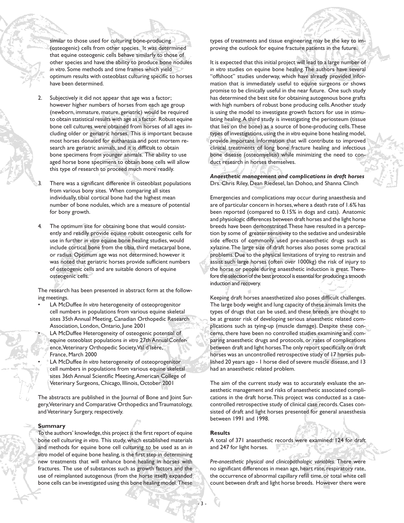similar to those used for culturing bone-producing (osteogenic) cells from other species. It was determined that equine osteogenic cells behave similarly to those of other species and have the ability to produce bone nodules *in vitro*. Some methods and time frames which yield optimum results with osteoblast culturing specific to horses have been determined.

Subjectively it did not appear that age was a factor; however higher numbers of horses from each age group (newborn, immature, mature, geriatric) would be required to obtain statistical results with age as a factor. Robust equine bone cell cultures were obtained from horses of all ages including older or geriatric horses. This is important because most horses donated for euthanasia and post mortem research are geriatric animals, and it is difficult to obtain bone specimens from younger animals. The ability to use aged horse bone specimens to obtain bone cells will allow this type of research to proceed much more readily.

There was a significant difference in osteoblast populations from various bony sites. When comparing all sites individually, tibial cortical bone had the highest mean number of bone nodules, which are a measure of potential for bony growth.

The optimum site for obtaining bone that would consistently and readily provide equine robust osteogenic cells for use in further *in vitro* equine bone healing studies, would include cortical bone from the tibia, third metacarpal bone, or radius. Optimum age was not determined; however it was noted that geriatric horses provide sufficient numbers of osteogenic cells and are suitable donors of equine osteogenic cells.

The research has been presented in abstract form at the following meetings.

- LA McDuffee *In vitro* heterogeneity of osteoprogenitor cell numbers in populations from various equine skeletal sites 35th Annual Meeting, Canadian Orthopedic Research Association, London, Ontario, June 2001
	- LA McDuffee Heterogeneity of osteogenic potential of equine osteoblast populations *in vitro* 27th AnnualConference, Veterinary Orthopedic Society, Val d'Isère, France, March 2000
	- LA McDuffee *In vitro* heterogeneity of osteoprogenitor cell numbers in populations from various equine skeletal sites 36th Annual Scientific Meeting, American College of Veterinary Surgeons, Chicago, Illinois, October 2001

The abstracts are published in the Journal of Bone and Joint Surgery, Veterinary and Comparative Orthopedics and Traumatology, and Veterinary Surgery, respectively.

#### **Summary**

To the authors' knowledge, this project is the first report of equine bone cell culturing *in vitro*. This study, which established materials and methods for equine bone cell culturing to be used as an *in vitro* model of equine bone healing, is the first step in determining new treatments that will enhance bone healing in horses with fractures. The use of substances such as growth factors and the use of reimplanted autogenous (from the horse itself) expanded bone cells can be investigated using this bone healing model. These types of treatments and tissue engineering may be the key to improving the outlook for equine fracture patients in the future.

It is expected that this initial project will lead to a large number of *in vitro* studies on equine bone healing. The authors have several "offshoot" studies underway, which have already provided information that is immediately useful to equine surgeons or shows promise to be clinically useful in the near future. One such study has determined the best site for obtaining autogenous bone grafts with high numbers of robust bone producing cells. Another study is using the model to investigate growth factors for use in stimulating healing. A third study is investigating the periosteum (tissue that lies on the bone) as a source of bone-producing cells. These types of investigations, using the *in vitro* equine bone healing model, provide important information that will contribute to improved clinical treatments of long bone fracture healing and infectious bone disease (osteomyelitis) while minimizing the need to conduct research in horses themselves.

## *Anaesthetic management and complications in draft horses* Drs. Chris Riley, Dean Riedesel, Ian Dohoo, and Shanna Clinch

Emergencies and complications may occur during anaesthesia and are of particular concern in horses, where a death rate of 1.6% has been reported (compared to 0.15% in dogs and cats). Anatomic and physiologic differences between draft horses and the light horse breeds have been demonstrated. These have resulted in a perception by some of greater sensitivity to the sedative and undesirable side effects of commonly used pre-anaesthetic drugs such as xylazine. The large size of draft horses also poses some practical problems. Due to the physical limitations of trying to restrain and assist such large horses (often over 1000kg) the risk of injury to the horse or people during anaesthetic induction is great. Therefore the selection of the best protocol is essential for producing a smooth induction and recovery.

Keeping draft horses anaesthetized also poses difficult challenges. The large body weight and lung capacity of these animals limits the types of drugs that can be used, and these breeds are thought to be at greater risk of developing serious anaesthetic related complications such as tying-up (muscle damage). Despite these concerns, there have been no controlled studies examining and comparing anaesthetic drugs and protocols, or rates of complications between draft and light horses. The only report specifically on draft horses was an uncontrolled retrospective study of 17 horses published 20 years ago - 1 horse died of severe muscle disease, and 13 had an anaesthetic related problem.

The aim of the current study was to accurately evaluate the anaesthetic management and risks of anaesthetic associated complications in the draft horse. This project was conducted as a casecontrolled retrospective study of clinical case records. Cases consisted of draft and light horses presented for general anaesthesia between 1991 and 1998.

#### **Results**

A total of 371 anaesthetic records were examined: 124 for draft and 247 for light horses.

*Pre-anaesthetic physical and clinicopathologic variables.* There were no significant differences in mean age, heart rate, respiratory rate, the occurrence of abnormal capillary refill time, or total white cell count between draft and light horse breeds. However there were

- 3 -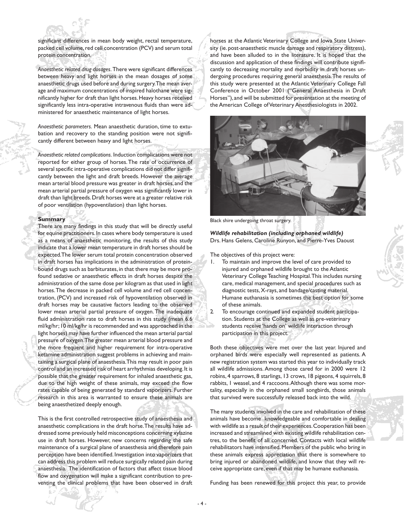

significant differences in mean body weight, rectal temperature, packed cell volume, red cell concentration (PCV) and serum total protein concentration.

*Anaesthetic related drug dosages.* There were significant differences between heavy and light horses in the mean dosages of some anaesthetic drugs used before and during surgery. The mean average and maximum concentrations of inspired halothane were significantly higher for draft than light horses. Heavy horses received significantly less intra-operative intravenous fluids than were administered for anaesthetic maintenance of light horses.

*Anaesthetic parameters.* Mean anaesthetic duration, time to extubation and recovery to the standing position were not significantly different between heavy and light horses.

*Anaesthetic related complications.* Induction complications were not reported for either group of horses. The rate of occurrence of several specific intra-operative complications did not differ significantly between the light and draft breeds. However the average mean arterial blood pressure was greater in draft horses, and the mean arterial partial pressure of oxygen was significantly lower in draft than light breeds. Draft horses were at a greater relative risk of poor ventilation (hypoventilation) than light horses.

#### **Summary**

There are many findings in this study that will be directly useful for equine practitioners. In cases where body temperature is used as a means of anaesthetic monitoring, the results of this study indicate that a lower mean temperature in draft horses should be expected. The lower serum total protein concentration observed in draft horses has implications in the administration of proteinbound drugs such as barbiturates, in that there may be more profound sedative or anaesthetic effects in draft horses despite the administration of the same dose per kilogram as that used in light horses. The decrease in packed cell volume and red cell concentration, (PCV) and increased risk of hypoventilation observed in draft horses may be causative factors leading to the observed lower mean arterial partial pressure of oxygen. The inadequate fluid administration rate to draft horses in this study (mean 6.6 ml/kg/hr; 10 ml/kg/hr is recommended and was approached in the light horses) may have further influenced the mean arterial partial pressure of oxygen. The greater mean arterial blood pressure and the more frequent and higher requirement for intra-operative ketamine administration suggest problems in achieving and maintaining a surgical plane of anaesthesia. This may result in poor pain control and an increased risk of heart arrhythmias developing. It is possible that the greater requirement for inhaled anaesthetic gas, due to the high weight of these animals, may exceed the flow rates capable of being generated by standard vaporizers. Further research in this area is warranted to ensure these animals are being anaesthetized deeply enough.

This is the first controlled retrospective study of anaesthesia and anaesthetic complications in the draft horse. The results have addressed some previously held misconceptions concerning xylazine use in draft horses. However, new concerns regarding the safe maintenance of a surgical plane of anaesthesia and therefore pain perception have been identified. Investigation into vaporizers that can address this problem will reduce surgically related pain during anaesthesia. The identification of factors that affect tissue blood flow and oxygenation will make a significant contribution to preventing the clinical problems that have been observed in draft horses at the Atlantic Veterinary College and Iowa State University (ie. post-anaesthetic muscle damage and respiratory distress), and have been alluded to in the literature. It is hoped that the discussion and application of these findings will contribute significantly to decreasing mortality and morbidity in draft horses undergoing procedures requiring general anaesthesia. The results of this study were presented at the Atlantic Veterinary College Fall Conference in October 2001 ("General Anaesthesia in Draft Horses"), and will be submitted for presentation at the meeting of the American College of Veterinary Anesthesiologists in 2002.



Black shire undergoing throat surgery.

*Wildlife rehabilitation (including orphaned wildlife)* Drs. Hans Gelens, Caroline Runyon, and Pierre-Yves Daoust

The objectives of this project were:

- 1. To maintain and improve the level of care provided to injured and orphaned wildlife brought to the Atlantic Veterinary College Teaching Hospital. This includes nursing care, medical management, and special procedures such as diagnostic tests, X-rays, and bandage/casting material. Humane euthanasia is sometimes the best option for some of these animals.
- 2. To encourage continued and expanded student participation. Students at the College as well as pre-veterinary students receive 'hands on' wildlife interaction through participation in this project.

Both these objectives were met over the last year. Injured and orphaned birds were especially well represented as patients. A new registration system was started this year to individually track all wildlife admissions. Among those cared for in 2000 were 12 robins, 4 sparrows, 8 starlings, 13 crows, 18 pigeons, 4 squirrels, 8 rabbits, 1 weasel, and 4 raccoons. Although there was some mortality, especially in the orphaned small songbirds, those animals that survived were successfully released back into the wild.

The many students involved in the care and rehabilitation of these animals have become knowledgeable and comfortable in dealing with wildlife as a result of their experiences. Cooperation has been increased and streamlined with existing wildlife rehabilitation centres, to the benefit of all concerned. Contacts with local wildlife rehabilitators have intensified. Members of the public who bring in these animals express appreciation that there is somewhere to bring injured or abandoned wildlife, and know that they will receive appropriate care, even if that may be humane euthanasia.

Funding has been renewed for this project this year, to provide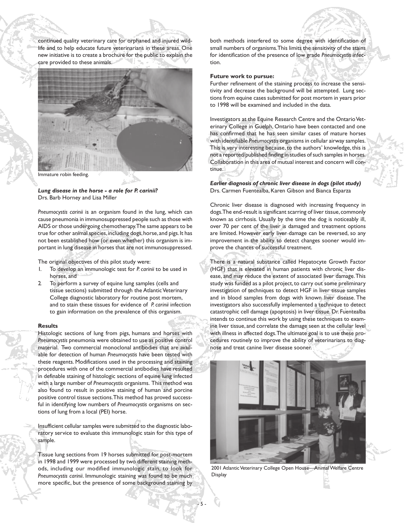continued quality veterinary care for orphaned and injured wildlife and to help educate future veterinarians in these areas. One new initiative is to create a brochure for the public to explain the care provided to these animals.



Immature robin feeding.

*Lung disease in the horse - a role for P. carinii?* Drs. Barb Horney and Lisa Miller

*Pneumocystis carinii* is an organism found in the lung, which can cause pneumonia in immunosuppressed people such as those with AIDS or those undergoing chemotherapy. The same appears to be true for other animal species, including dogs, horse, and pigs. It has not been established how (or even whether) this organism is important in lung disease in horses that are not immunosuppressed.

The original objectives of this pilot study were:

- 1. To develop an immunologic test for *P. carinii* to be used in horses, and
- 2. To perform a survey of equine lung samples (cells and tissue sections) submitted through the Atlantic Veterinary College diagnostic laboratory for routine post mortem, and to stain these tissues for evidence of *P. carinii* infection to gain information on the prevalence of this organism.

#### **Results**

Histologic sections of lung from pigs, humans and horses with *Pneumocystis* pneumonia were obtained to use as positive control material. Two commercial monoclonal antibodies that are available for detection of human *Pneumocystis* have been tested with these reagents. Modifications used in the processing and staining procedures with one of the commercial antibodies have resulted in definable staining of histologic sections of equine lung infected with a large number of *Pneumocystis* organisms. This method was also found to result in positive staining of human and porcine positive control tissue sections. This method has proved successful in identifying low numbers of *Pneumocystis* organisms on sections of lung from a local (PEI) horse.

Insufficient cellular samples were submitted to the diagnostic laboratory service to evaluate this immunologic stain for this type of sample.

Tissue lung sections from 19 horses submitted for post-mortem in 1998 and 1999 were processed by two different staining methods, including our modified immunologic stain, to look for *Pneumocystis carinii*. Immunologic staining was found to be much more specific, but the presence of some background staining by

both methods interfered to some degree with identification of small numbers of organisms. This limits the sensitivity of the stains for identification of the presence of low grade *Pneumocystis* infection.

#### **Future work to pursue:**

Further refinement of the staining process to increase the sensitivity and decrease the background will be attempted. Lung sections from equine cases submitted for post mortem in years prior to 1998 will be examined and included in the data.

Investigators at the Equine Research Centre and the Ontario Veterinary College in Guelph, Ontario have been contacted and one has confirmed that he has seen similar cases of mature horses with identifiable *Pneumocystis* organisms in cellular airway samples. This is very interesting because, to the authors' knowledge, this is not a reported/published finding in studies of such samples in horses. Collaboration in this area of mutual interest and concern will continue.

## *Earlier diagnosis of chronic liver disease in dogs (pilot study)* Drs. Carmen Fuentealba, Karen Gibson and Bianca Esparza

Chronic liver disease is diagnosed with increasing frequency in dogs. The end-result is significant scarring of liver tissue, commonly known as cirrhosis. Usually by the time the dog is noticeably ill, over 70 per cent of the liver is damaged and treatment options are limited. However early liver damage can be reversed, so any improvement in the ability to detect changes sooner would improve the chances of successful treatment.

There is a natural substance called Hepatocyte Growth Factor (HGF) that is elevated in human patients with chronic liver disease, and may reduce the extent of associated liver damage. This study was funded as a pilot project, to carry out some preliminary investigation of techniques to detect HGF in liver tissue samples and in blood samples from dogs with known liver disease. The investigators also successfully implemented a technique to detect catastrophic cell damage (apoptosis) in liver tissue. Dr. Fuentealba intends to continue this work by using these techniques to examine liver tissue, and correlate the damage seen at the cellular level with illness in affected dogs. The ultimate goal is to use these procedures routinely to improve the ability of veterinarians to diagnose and treat canine liver disease sooner.



2001 Atlantic Veterinary College Open House—Animal Welfare Centre Display

- 5 -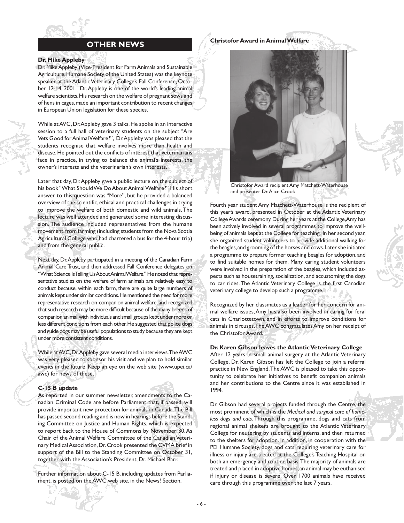

## **OTHER NEWS**

#### **Dr. Mike Appleby**

Dr. Mike Appleby (Vice-President for Farm Animals and Sustainable Agriculture, Humane Society of the United States) was the keynote speaker at the Atlantic Veterinary College's Fall Conference, October 12-14, 2001. Dr. Appleby is one of the world's leading animal welfare scientists. His research on the welfare of pregnant sows and of hens in cages, made an important contribution to recent changes in European Union legislation for these species.

While at AVC, Dr. Appleby gave 3 talks. He spoke in an interactive session to a full hall of veterinary students on the subject "Are Vets Good for Animal Welfare?", Dr. Appleby was pleased that the students recognise that welfare involves more than health and disease. He pointed out the conflicts of interest that veterinarians face in practice, in trying to balance the animal's interests, the owner's interests and the veterinarian's own interests.

Later that day, Dr. Appleby gave a public lecture on the subject of his book "What Should We Do About Animal Welfare?" His short answer to this question was "More", but he provided a balanced overview of the scientific, ethical and practical challenges in trying to improve the welfare of both domestic and wild animals. The lecture was well attended and generated some interesting discussion. The audience included representatives from the humane movement, from farming (including students from the Nova Scotia Agricultural College who had chartered a bus for the 4-hour trip) and from the general public.

Next day, Dr. Appleby participated in a meeting of the Canadian Farm Animal Care Trust, and then addressed Fall Conference delegates on "What Science Is Telling Us About Animal Welfare." He noted that representative studies on the welfare of farm animals are relatively easy to conduct because, within each farm, there are quite large numbers of animals kept under similar conditions. He mentioned the need for more representative research on companion animal welfare, and recognized that such research may be more difficult because of the many breeds of companion animal, with individuals and small groups kept under more or less different conditions from each other. He suggested that police dogs and guide dogs may be useful populations to study because they are kept under more consistent conditions.

While at AVC, Dr. Appleby gave several media interviews. The AWC was very pleased to sponsor his visit and we plan to hold similar events in the future. Keep an eye on the web site (www.upei.ca/ awc) for news of these.

#### **C-15 B update**

As reported in our summer newsletter, amendments to the Canadian Criminal Code are before Parliament that, if passed, will provide important new protection for animals in Canada. The Bill has passed second reading and is now in hearings before the Standing Committee on Justice and Human Rights, which is expected to report back to the House of Commons by November 30. As Chair of the Animal Welfare Committee of the Canadian Veterinary Medical Association, Dr. Crook presented the CVMA brief in support of the Bill to the Standing Committee on October 31, together with the Association's President, Dr. Michael Barr.

Further information about C-15 B, including updates from Parliament, is posted on the AWC web site, in the News! Section.

### **Christofor Award in Animal Welfare**



Christofor Award recipient Amy Matchett-Waterhouse and presenter Dr. Alice Crook

Fourth year student Amy Matchett-Waterhouse is the recipient of this year's award, presented in October at the Atlantic Veterinary College Awards ceremony. During her years at the College, Amy has been actively involved in several programmes to improve the wellbeing of animals kept at the College for teaching. In her second year, she organized student volunteers to provide additional walking for the beagles, and grooming of the horses and cows. Later she initiated a programme to prepare former teaching beagles for adoption, and to find suitable homes for them. Many caring student volunteers were involved in the preparation of the beagles, which included aspects such as housetraining, socialization, and accustoming the dogs to car rides. The Atlantic Veterinary College is the first Canadian veterinary college to develop such a programme.

Recognized by her classmates as a leader for her concern for animal welfare issues, Amy has also been involved in caring for feral cats in Charlottetown, and in efforts to improve conditions for animals in circuses. The AWC congratulates Amy on her receipt of the Christofor Award.

### **Dr. Karen Gibson leaves the Atlantic Veterinary College** After 12 years in small animal surgery at the Atlantic Veterinary College, Dr. Karen Gibson has left the College to join a referral practice in New England. The AWC is pleased to take this opportunity to celebrate her initiatives to benefit companion animals and her contributions to the Centre since it was established in 1994.

Dr. Gibson had several projects funded through the Centre, the most prominent of which is the *Medical and surgical care of homeless dogs and cats*. Through this programme, dogs and cats from regional animal shelters are brought to the Atlantic Veterinary College for neutering by students and interns, and then returned to the shelters for adoption. In addition, in cooperation with the PEI Humane Society, dogs and cats requiring veterinary care for illness or injury are treated at the College's Teaching Hospital on both an emergency and routine basis. The majority of animals are treated and placed in adoptive homes; an animal may be euthanised if injury or disease is severe. Over 1700 animals have received care through this programme over the last 7 years.